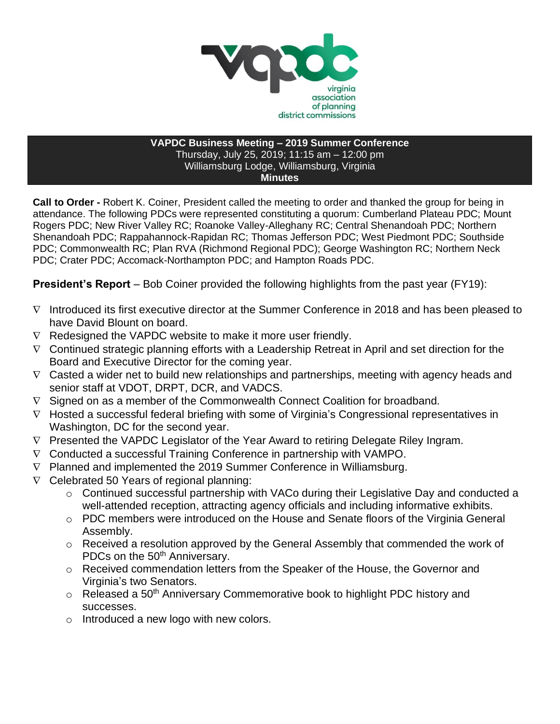

## **VAPDC Business Meeting – 2019 Summer Conference** Thursday, July 25, 2019; 11:15 am – 12:00 pm Williamsburg Lodge, Williamsburg, Virginia **Minutes**

**Call to Order -** Robert K. Coiner, President called the meeting to order and thanked the group for being in attendance. The following PDCs were represented constituting a quorum: Cumberland Plateau PDC; Mount Rogers PDC; New River Valley RC; Roanoke Valley-Alleghany RC; Central Shenandoah PDC; Northern Shenandoah PDC; Rappahannock-Rapidan RC; Thomas Jefferson PDC; West Piedmont PDC; Southside PDC; Commonwealth RC; Plan RVA (Richmond Regional PDC); George Washington RC; Northern Neck PDC; Crater PDC; Accomack-Northampton PDC; and Hampton Roads PDC.

**President's Report** – Bob Coiner provided the following highlights from the past year (FY19):

- $\nabla$  Introduced its first executive director at the Summer Conference in 2018 and has been pleased to have David Blount on board.
- $\nabla$  Redesigned the VAPDC website to make it more user friendly.
- $\nabla$  Continued strategic planning efforts with a Leadership Retreat in April and set direction for the Board and Executive Director for the coming year.
- $\nabla$  Casted a wider net to build new relationships and partnerships, meeting with agency heads and senior staff at VDOT, DRPT, DCR, and VADCS.
- $\nabla$  Signed on as a member of the Commonwealth Connect Coalition for broadband.
- $\nabla$  Hosted a successful federal briefing with some of Virginia's Congressional representatives in Washington, DC for the second year.
- $\nabla$  Presented the VAPDC Legislator of the Year Award to retiring Delegate Riley Ingram.
- $\nabla$  Conducted a successful Training Conference in partnership with VAMPO.
- $\nabla$  Planned and implemented the 2019 Summer Conference in Williamsburg.
- $\nabla$  Celebrated 50 Years of regional planning:
	- o Continued successful partnership with VACo during their Legislative Day and conducted a well-attended reception, attracting agency officials and including informative exhibits.
	- o PDC members were introduced on the House and Senate floors of the Virginia General Assembly.
	- o Received a resolution approved by the General Assembly that commended the work of PDCs on the 50<sup>th</sup> Anniversary.
	- o Received commendation letters from the Speaker of the House, the Governor and Virginia's two Senators.
	- $\circ$  Released a 50<sup>th</sup> Anniversary Commemorative book to highlight PDC history and successes.
	- o Introduced a new logo with new colors.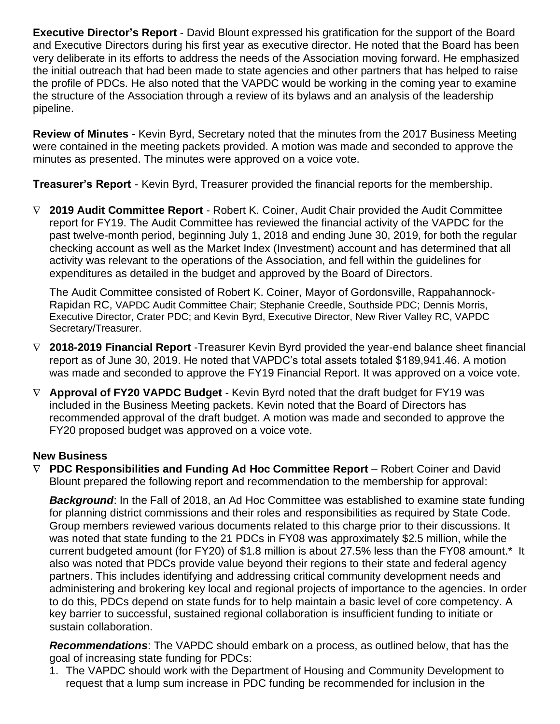**Executive Director's Report** - David Blount expressed his gratification for the support of the Board and Executive Directors during his first year as executive director. He noted that the Board has been very deliberate in its efforts to address the needs of the Association moving forward. He emphasized the initial outreach that had been made to state agencies and other partners that has helped to raise the profile of PDCs. He also noted that the VAPDC would be working in the coming year to examine the structure of the Association through a review of its bylaws and an analysis of the leadership pipeline.

**Review of Minutes** - Kevin Byrd, Secretary noted that the minutes from the 2017 Business Meeting were contained in the meeting packets provided. A motion was made and seconded to approve the minutes as presented. The minutes were approved on a voice vote.

**Treasurer's Report** - Kevin Byrd, Treasurer provided the financial reports for the membership.

 **2019 Audit Committee Report** - Robert K. Coiner, Audit Chair provided the Audit Committee report for FY19. The Audit Committee has reviewed the financial activity of the VAPDC for the past twelve-month period, beginning July 1, 2018 and ending June 30, 2019, for both the regular checking account as well as the Market Index (Investment) account and has determined that all activity was relevant to the operations of the Association, and fell within the guidelines for expenditures as detailed in the budget and approved by the Board of Directors.

The Audit Committee consisted of Robert K. Coiner, Mayor of Gordonsville, Rappahannock-Rapidan RC, VAPDC Audit Committee Chair; Stephanie Creedle, Southside PDC; Dennis Morris, Executive Director, Crater PDC; and Kevin Byrd, Executive Director, New River Valley RC, VAPDC Secretary/Treasurer.

- **2018-2019 Financial Report** -Treasurer Kevin Byrd provided the year-end balance sheet financial report as of June 30, 2019. He noted that VAPDC's total assets totaled \$189,941.46. A motion was made and seconded to approve the FY19 Financial Report. It was approved on a voice vote.
- **Approval of FY20 VAPDC Budget** Kevin Byrd noted that the draft budget for FY19 was included in the Business Meeting packets. Kevin noted that the Board of Directors has recommended approval of the draft budget. A motion was made and seconded to approve the FY20 proposed budget was approved on a voice vote.

# **New Business**

 **PDC Responsibilities and Funding Ad Hoc Committee Report** – Robert Coiner and David Blount prepared the following report and recommendation to the membership for approval:

**Background:** In the Fall of 2018, an Ad Hoc Committee was established to examine state funding for planning district commissions and their roles and responsibilities as required by State Code. Group members reviewed various documents related to this charge prior to their discussions. It was noted that state funding to the 21 PDCs in FY08 was approximately \$2.5 million, while the current budgeted amount (for FY20) of \$1.8 million is about 27.5% less than the FY08 amount.\* It also was noted that PDCs provide value beyond their regions to their state and federal agency partners. This includes identifying and addressing critical community development needs and administering and brokering key local and regional projects of importance to the agencies. In order to do this, PDCs depend on state funds for to help maintain a basic level of core competency. A key barrier to successful, sustained regional collaboration is insufficient funding to initiate or sustain collaboration.

*Recommendations*: The VAPDC should embark on a process, as outlined below, that has the goal of increasing state funding for PDCs:

1. The VAPDC should work with the Department of Housing and Community Development to request that a lump sum increase in PDC funding be recommended for inclusion in the